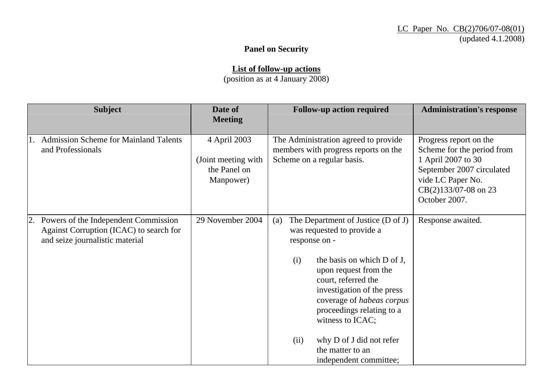## **Panel on Security**

**List of follow-up actions**

(position as at 4 January 2008)

| <b>Subject</b>                                                                                                        | Date of<br><b>Meeting</b>                                         | <b>Follow-up action required</b>                                                                                                                                                                                                                                                                                                                                            | <b>Administration's response</b>                                                                                                                                      |
|-----------------------------------------------------------------------------------------------------------------------|-------------------------------------------------------------------|-----------------------------------------------------------------------------------------------------------------------------------------------------------------------------------------------------------------------------------------------------------------------------------------------------------------------------------------------------------------------------|-----------------------------------------------------------------------------------------------------------------------------------------------------------------------|
| <b>Admission Scheme for Mainland Talents</b><br>1.<br>and Professionals                                               | 4 April 2003<br>(Joint meeting with)<br>the Panel on<br>Manpower) | The Administration agreed to provide<br>members with progress reports on the<br>Scheme on a regular basis.                                                                                                                                                                                                                                                                  | Progress report on the<br>Scheme for the period from<br>1 April 2007 to 30<br>September 2007 circulated<br>vide LC Paper No.<br>CB(2)133/07-08 on 23<br>October 2007. |
| 2. Powers of the Independent Commission<br>Against Corruption (ICAC) to search for<br>and seize journalistic material | 29 November 2004                                                  | The Department of Justice (D of J)<br>(a)<br>was requested to provide a<br>response on -<br>the basis on which D of J,<br>(i)<br>upon request from the<br>court, referred the<br>investigation of the press<br>coverage of habeas corpus<br>proceedings relating to a<br>witness to ICAC;<br>why D of J did not refer<br>(ii)<br>the matter to an<br>independent committee; | Response awaited.                                                                                                                                                     |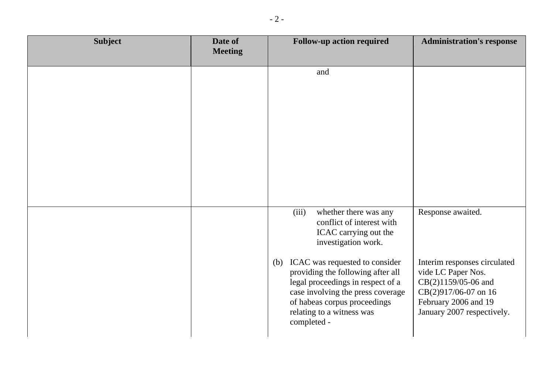| <b>Subject</b> | Date of<br><b>Meeting</b> | <b>Follow-up action required</b>                                                                                                                                                                                                                                                                                                                | <b>Administration's response</b>                                                                                                                                             |
|----------------|---------------------------|-------------------------------------------------------------------------------------------------------------------------------------------------------------------------------------------------------------------------------------------------------------------------------------------------------------------------------------------------|------------------------------------------------------------------------------------------------------------------------------------------------------------------------------|
|                |                           | and                                                                                                                                                                                                                                                                                                                                             |                                                                                                                                                                              |
|                |                           | (iii)<br>whether there was any<br>conflict of interest with<br>ICAC carrying out the<br>investigation work.<br>ICAC was requested to consider<br>(b)<br>providing the following after all<br>legal proceedings in respect of a<br>case involving the press coverage<br>of habeas corpus proceedings<br>relating to a witness was<br>completed - | Response awaited.<br>Interim responses circulated<br>vide LC Paper Nos.<br>CB(2)1159/05-06 and<br>CB(2)917/06-07 on 16<br>February 2006 and 19<br>January 2007 respectively. |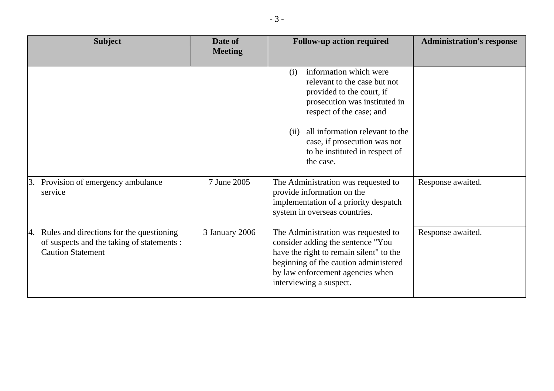| <b>Subject</b>                                                                                                        | Date of<br><b>Meeting</b> | <b>Follow-up action required</b>                                                                                                                                                                                                                                                  | <b>Administration's response</b> |
|-----------------------------------------------------------------------------------------------------------------------|---------------------------|-----------------------------------------------------------------------------------------------------------------------------------------------------------------------------------------------------------------------------------------------------------------------------------|----------------------------------|
|                                                                                                                       |                           | information which were<br>(i)<br>relevant to the case but not<br>provided to the court, if<br>prosecution was instituted in<br>respect of the case; and<br>all information relevant to the<br>(ii)<br>case, if prosecution was not<br>to be instituted in respect of<br>the case. |                                  |
| 3. Provision of emergency ambulance<br>service                                                                        | 7 June 2005               | The Administration was requested to<br>provide information on the<br>implementation of a priority despatch<br>system in overseas countries.                                                                                                                                       | Response awaited.                |
| 4. Rules and directions for the questioning<br>of suspects and the taking of statements :<br><b>Caution Statement</b> | 3 January 2006            | The Administration was requested to<br>consider adding the sentence "You<br>have the right to remain silent" to the<br>beginning of the caution administered<br>by law enforcement agencies when<br>interviewing a suspect.                                                       | Response awaited.                |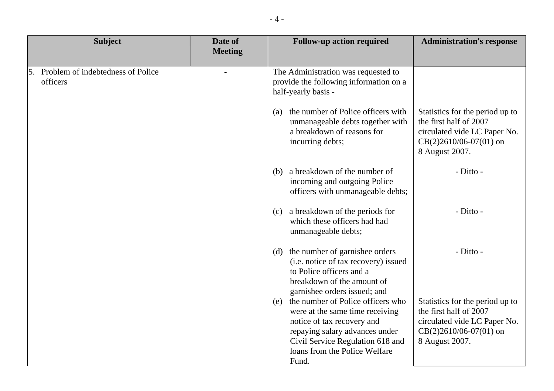| <b>Subject</b>                                   | Date of<br><b>Meeting</b> | <b>Follow-up action required</b>                                                                                                                                                                                       | <b>Administration's response</b>                                                                                                        |
|--------------------------------------------------|---------------------------|------------------------------------------------------------------------------------------------------------------------------------------------------------------------------------------------------------------------|-----------------------------------------------------------------------------------------------------------------------------------------|
|                                                  |                           |                                                                                                                                                                                                                        |                                                                                                                                         |
| 5. Problem of indebtedness of Police<br>officers |                           | The Administration was requested to<br>provide the following information on a<br>half-yearly basis -                                                                                                                   |                                                                                                                                         |
|                                                  |                           | the number of Police officers with<br>(a)<br>unmanageable debts together with<br>a breakdown of reasons for<br>incurring debts;                                                                                        | Statistics for the period up to<br>the first half of 2007<br>circulated vide LC Paper No.<br>$CB(2)2610/06-07(01)$ on<br>8 August 2007. |
|                                                  |                           | (b) a breakdown of the number of<br>incoming and outgoing Police<br>officers with unmanageable debts;                                                                                                                  | - Ditto -                                                                                                                               |
|                                                  |                           | (c) a breakdown of the periods for<br>which these officers had had<br>unmanageable debts;                                                                                                                              | - Ditto -                                                                                                                               |
|                                                  |                           | (d) the number of garnishee orders<br>(i.e. notice of tax recovery) issued<br>to Police officers and a<br>breakdown of the amount of<br>garnishee orders issued; and                                                   | - Ditto -                                                                                                                               |
|                                                  |                           | (e) the number of Police officers who<br>were at the same time receiving<br>notice of tax recovery and<br>repaying salary advances under<br>Civil Service Regulation 618 and<br>loans from the Police Welfare<br>Fund. | Statistics for the period up to<br>the first half of 2007<br>circulated vide LC Paper No.<br>$CB(2)2610/06-07(01)$ on<br>8 August 2007. |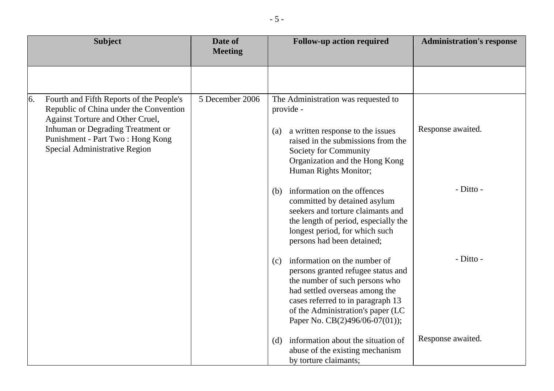|    | <b>Subject</b>                                                                                                                                                                                                                   | Date of<br><b>Meeting</b> | <b>Follow-up action required</b>                                                                                                                                                                                                                          | <b>Administration's response</b> |
|----|----------------------------------------------------------------------------------------------------------------------------------------------------------------------------------------------------------------------------------|---------------------------|-----------------------------------------------------------------------------------------------------------------------------------------------------------------------------------------------------------------------------------------------------------|----------------------------------|
|    |                                                                                                                                                                                                                                  |                           |                                                                                                                                                                                                                                                           |                                  |
| 6. | Fourth and Fifth Reports of the People's<br>Republic of China under the Convention<br>Against Torture and Other Cruel,<br>Inhuman or Degrading Treatment or<br>Punishment - Part Two: Hong Kong<br>Special Administrative Region | 5 December 2006           | The Administration was requested to<br>provide -<br>Response awaited.<br>a written response to the issues<br>(a)<br>raised in the submissions from the<br>Society for Community<br>Organization and the Hong Kong<br>Human Rights Monitor;                |                                  |
|    |                                                                                                                                                                                                                                  |                           | information on the offences<br>(b)<br>committed by detained asylum<br>seekers and torture claimants and<br>the length of period, especially the<br>longest period, for which such<br>persons had been detained;                                           | - Ditto -                        |
|    |                                                                                                                                                                                                                                  |                           | information on the number of<br>(c)<br>persons granted refugee status and<br>the number of such persons who<br>had settled overseas among the<br>cases referred to in paragraph 13<br>of the Administration's paper (LC<br>Paper No. CB(2)496/06-07(01)); | - Ditto -                        |
|    |                                                                                                                                                                                                                                  |                           | Response awaited.<br>information about the situation of<br>(d)<br>abuse of the existing mechanism<br>by torture claimants;                                                                                                                                |                                  |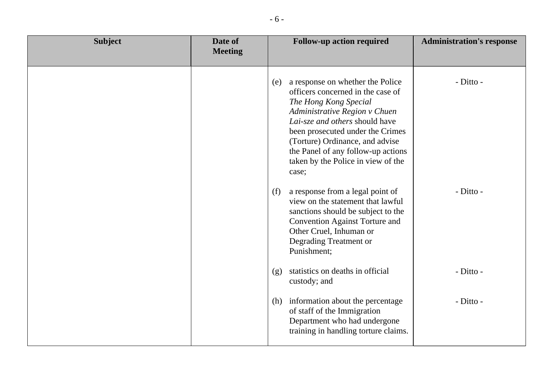| <b>Subject</b> | Date of<br><b>Meeting</b> | <b>Follow-up action required</b>                                                                                                                                                                                                                                                                                                     | <b>Administration's response</b> |
|----------------|---------------------------|--------------------------------------------------------------------------------------------------------------------------------------------------------------------------------------------------------------------------------------------------------------------------------------------------------------------------------------|----------------------------------|
|                |                           | a response on whether the Police<br>(e)<br>officers concerned in the case of<br>The Hong Kong Special<br>Administrative Region v Chuen<br>Lai-sze and others should have<br>been prosecuted under the Crimes<br>(Torture) Ordinance, and advise<br>the Panel of any follow-up actions<br>taken by the Police in view of the<br>case; | - Ditto -                        |
|                |                           | a response from a legal point of<br>(f)<br>view on the statement that lawful<br>sanctions should be subject to the<br><b>Convention Against Torture and</b><br>Other Cruel, Inhuman or<br>Degrading Treatment or<br>Punishment;                                                                                                      | - Ditto -                        |
|                |                           | statistics on deaths in official<br>(g)<br>custody; and                                                                                                                                                                                                                                                                              | - Ditto -                        |
|                |                           | (h) information about the percentage<br>of staff of the Immigration<br>Department who had undergone<br>training in handling torture claims.                                                                                                                                                                                          | - Ditto -                        |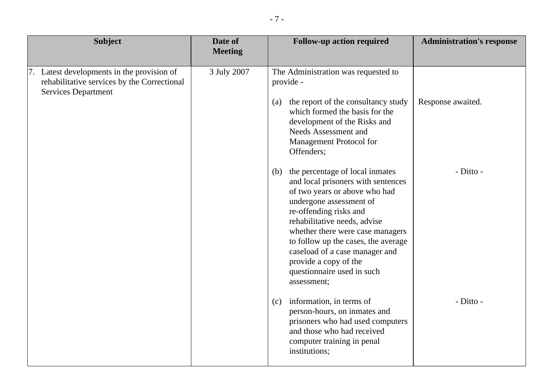| <b>Subject</b>                                                                                                          | Date of<br><b>Meeting</b> |     | <b>Follow-up action required</b>                                                                                                                                                                                                                                                                                                                                                   | <b>Administration's response</b> |
|-------------------------------------------------------------------------------------------------------------------------|---------------------------|-----|------------------------------------------------------------------------------------------------------------------------------------------------------------------------------------------------------------------------------------------------------------------------------------------------------------------------------------------------------------------------------------|----------------------------------|
| 7. Latest developments in the provision of<br>rehabilitative services by the Correctional<br><b>Services Department</b> | 3 July 2007               | (a) | The Administration was requested to<br>provide -<br>the report of the consultancy study<br>which formed the basis for the<br>development of the Risks and<br><b>Needs Assessment and</b><br>Management Protocol for<br>Offenders;                                                                                                                                                  | Response awaited.                |
|                                                                                                                         |                           |     | (b) the percentage of local inmates<br>and local prisoners with sentences<br>of two years or above who had<br>undergone assessment of<br>re-offending risks and<br>rehabilitative needs, advise<br>whether there were case managers<br>to follow up the cases, the average<br>caseload of a case manager and<br>provide a copy of the<br>questionnaire used in such<br>assessment; | - Ditto -                        |
|                                                                                                                         |                           | (c) | information, in terms of<br>person-hours, on inmates and<br>prisoners who had used computers<br>and those who had received<br>computer training in penal<br>institutions;                                                                                                                                                                                                          | - Ditto -                        |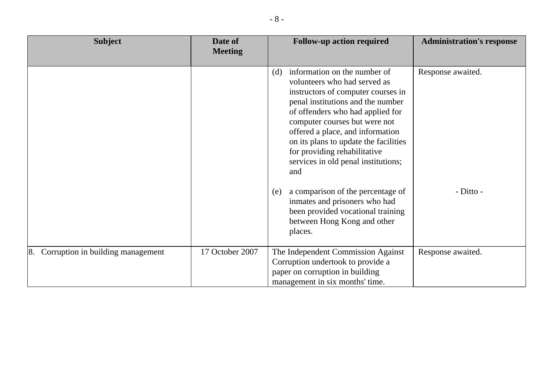| <b>Subject</b>                          | Date of<br><b>Meeting</b> | <b>Follow-up action required</b>                                                                                                                                                                                                                                                                                                                                               | <b>Administration's response</b> |
|-----------------------------------------|---------------------------|--------------------------------------------------------------------------------------------------------------------------------------------------------------------------------------------------------------------------------------------------------------------------------------------------------------------------------------------------------------------------------|----------------------------------|
|                                         |                           | information on the number of<br>(d)<br>volunteers who had served as<br>instructors of computer courses in<br>penal institutions and the number<br>of offenders who had applied for<br>computer courses but were not<br>offered a place, and information<br>on its plans to update the facilities<br>for providing rehabilitative<br>services in old penal institutions;<br>and | Response awaited.                |
|                                         |                           | a comparison of the percentage of<br>(e)<br>inmates and prisoners who had<br>been provided vocational training<br>between Hong Kong and other<br>places.                                                                                                                                                                                                                       | - Ditto -                        |
| Corruption in building management<br>8. | 17 October 2007           | The Independent Commission Against<br>Corruption undertook to provide a<br>paper on corruption in building<br>management in six months' time.                                                                                                                                                                                                                                  | Response awaited.                |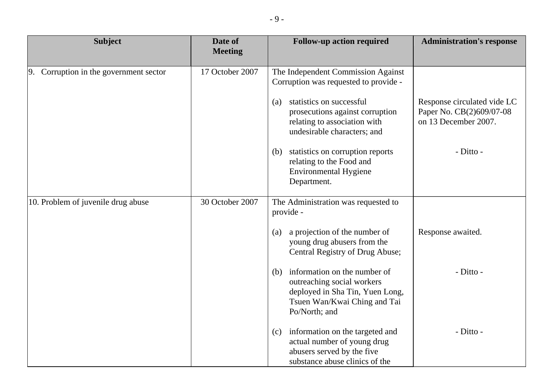| <b>Subject</b>                            | Date of<br><b>Meeting</b> | <b>Follow-up action required</b>                                                                                                                   | <b>Administration's response</b>                                                |
|-------------------------------------------|---------------------------|----------------------------------------------------------------------------------------------------------------------------------------------------|---------------------------------------------------------------------------------|
|                                           |                           |                                                                                                                                                    |                                                                                 |
| Corruption in the government sector<br>9. | 17 October 2007           | The Independent Commission Against<br>Corruption was requested to provide -                                                                        |                                                                                 |
|                                           |                           | statistics on successful<br>(a)<br>prosecutions against corruption<br>relating to association with<br>undesirable characters; and                  | Response circulated vide LC<br>Paper No. CB(2)609/07-08<br>on 13 December 2007. |
|                                           |                           | (b) statistics on corruption reports<br>relating to the Food and<br><b>Environmental Hygiene</b><br>Department.                                    | - Ditto -                                                                       |
| 10. Problem of juvenile drug abuse        | 30 October 2007           | The Administration was requested to<br>provide -                                                                                                   |                                                                                 |
|                                           |                           | a projection of the number of<br>(a)<br>young drug abusers from the<br>Central Registry of Drug Abuse;                                             | Response awaited.                                                               |
|                                           |                           | (b) information on the number of<br>outreaching social workers<br>deployed in Sha Tin, Yuen Long,<br>Tsuen Wan/Kwai Ching and Tai<br>Po/North; and | - Ditto -                                                                       |
|                                           |                           | information on the targeted and<br>(c)<br>actual number of young drug<br>abusers served by the five<br>substance abuse clinics of the              | - Ditto -                                                                       |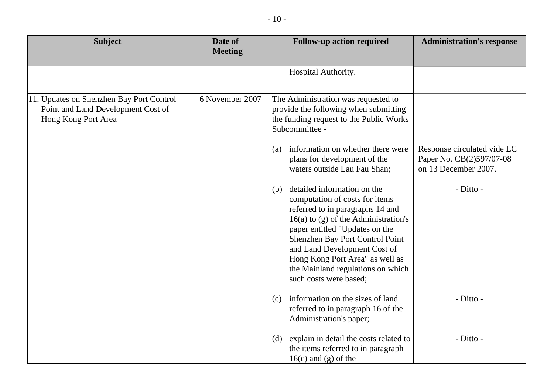| <b>Subject</b>                                                                                        | Date of<br><b>Meeting</b> | <b>Follow-up action required</b>                                                                                                                                                                                                                                                                                                                          | <b>Administration's response</b>                                                |
|-------------------------------------------------------------------------------------------------------|---------------------------|-----------------------------------------------------------------------------------------------------------------------------------------------------------------------------------------------------------------------------------------------------------------------------------------------------------------------------------------------------------|---------------------------------------------------------------------------------|
|                                                                                                       |                           | Hospital Authority.                                                                                                                                                                                                                                                                                                                                       |                                                                                 |
| 11. Updates on Shenzhen Bay Port Control<br>Point and Land Development Cost of<br>Hong Kong Port Area | 6 November 2007           | The Administration was requested to<br>provide the following when submitting<br>the funding request to the Public Works<br>Subcommittee -                                                                                                                                                                                                                 |                                                                                 |
|                                                                                                       |                           | information on whether there were<br>(a)<br>plans for development of the<br>waters outside Lau Fau Shan;                                                                                                                                                                                                                                                  | Response circulated vide LC<br>Paper No. CB(2)597/07-08<br>on 13 December 2007. |
|                                                                                                       |                           | detailed information on the<br>(b)<br>computation of costs for items<br>referred to in paragraphs 14 and<br>$16(a)$ to (g) of the Administration's<br>paper entitled "Updates on the<br>Shenzhen Bay Port Control Point<br>and Land Development Cost of<br>Hong Kong Port Area" as well as<br>the Mainland regulations on which<br>such costs were based; | - Ditto -                                                                       |
|                                                                                                       |                           | information on the sizes of land<br>(c)<br>referred to in paragraph 16 of the<br>Administration's paper;                                                                                                                                                                                                                                                  | - Ditto -                                                                       |
|                                                                                                       |                           | explain in detail the costs related to<br>(d)<br>the items referred to in paragraph<br>$16(c)$ and (g) of the                                                                                                                                                                                                                                             | - Ditto -                                                                       |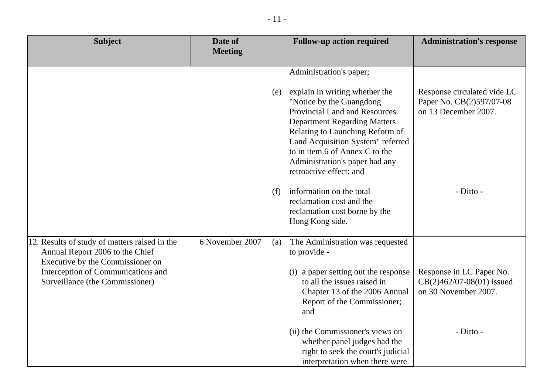| <b>Subject</b>                                                                                                                                                                                | Date of<br><b>Meeting</b> | <b>Follow-up action required</b>                                                                                                                                                                                                                                                                                                                                                                                                                                | <b>Administration's response</b>                                                             |
|-----------------------------------------------------------------------------------------------------------------------------------------------------------------------------------------------|---------------------------|-----------------------------------------------------------------------------------------------------------------------------------------------------------------------------------------------------------------------------------------------------------------------------------------------------------------------------------------------------------------------------------------------------------------------------------------------------------------|----------------------------------------------------------------------------------------------|
|                                                                                                                                                                                               |                           | Administration's paper;<br>explain in writing whether the<br>(e)<br>"Notice by the Guangdong"<br>Provincial Land and Resources<br><b>Department Regarding Matters</b><br>Relating to Launching Reform of<br>Land Acquisition System" referred<br>to in item 6 of Annex C to the<br>Administration's paper had any<br>retroactive effect; and<br>information on the total<br>(f)<br>reclamation cost and the<br>reclamation cost borne by the<br>Hong Kong side. | Response circulated vide LC<br>Paper No. CB(2)597/07-08<br>on 13 December 2007.<br>- Ditto - |
| 12. Results of study of matters raised in the<br>Annual Report 2006 to the Chief<br>Executive by the Commissioner on<br>Interception of Communications and<br>Surveillance (the Commissioner) | 6 November 2007           | The Administration was requested<br>(a)<br>to provide -<br>(i) a paper setting out the response<br>to all the issues raised in<br>Chapter 13 of the 2006 Annual<br>Report of the Commissioner;<br>and                                                                                                                                                                                                                                                           | Response in LC Paper No.<br>$CB(2)462/07-08(01)$ issued<br>on 30 November 2007.              |
|                                                                                                                                                                                               |                           | (ii) the Commissioner's views on<br>whether panel judges had the<br>right to seek the court's judicial<br>interpretation when there were                                                                                                                                                                                                                                                                                                                        | - Ditto -                                                                                    |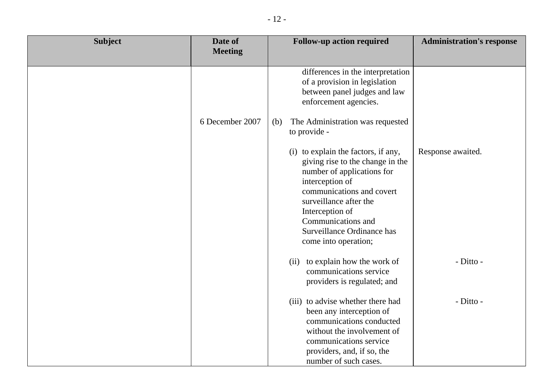| <b>Subject</b> | Date of         | <b>Follow-up action required</b>                                                                                                                                                                                                                                               | <b>Administration's response</b> |
|----------------|-----------------|--------------------------------------------------------------------------------------------------------------------------------------------------------------------------------------------------------------------------------------------------------------------------------|----------------------------------|
|                | <b>Meeting</b>  |                                                                                                                                                                                                                                                                                |                                  |
|                |                 | differences in the interpretation<br>of a provision in legislation<br>between panel judges and law<br>enforcement agencies.                                                                                                                                                    |                                  |
|                | 6 December 2007 | The Administration was requested<br>(b)<br>to provide -                                                                                                                                                                                                                        |                                  |
|                |                 | (i) to explain the factors, if any,<br>giving rise to the change in the<br>number of applications for<br>interception of<br>communications and covert<br>surveillance after the<br>Interception of<br>Communications and<br>Surveillance Ordinance has<br>come into operation; | Response awaited.                |
|                |                 | to explain how the work of<br>(ii)<br>communications service<br>providers is regulated; and                                                                                                                                                                                    | - Ditto -                        |
|                |                 | (iii) to advise whether there had<br>been any interception of<br>communications conducted<br>without the involvement of<br>communications service<br>providers, and, if so, the<br>number of such cases.                                                                       | - Ditto -                        |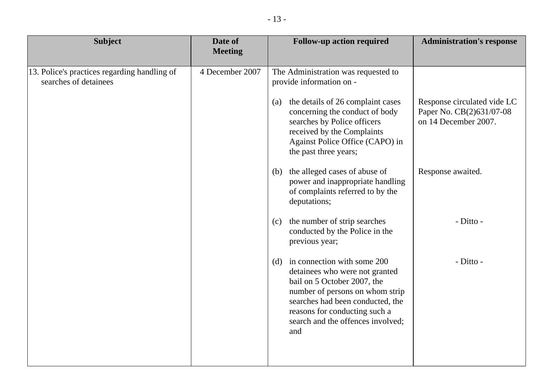| Date of<br><b>Meeting</b> | <b>Follow-up action required</b>                                                                                                                                                                                                                     | <b>Administration's response</b>                 |
|---------------------------|------------------------------------------------------------------------------------------------------------------------------------------------------------------------------------------------------------------------------------------------------|--------------------------------------------------|
| 4 December 2007           | The Administration was requested to<br>provide information on -<br>the details of 26 complaint cases<br>(a)                                                                                                                                          | Response circulated vide LC                      |
|                           | concerning the conduct of body<br>searches by Police officers<br>received by the Complaints<br>Against Police Office (CAPO) in<br>the past three years;                                                                                              | Paper No. CB(2)631/07-08<br>on 14 December 2007. |
|                           | (b) the alleged cases of abuse of<br>power and inappropriate handling<br>of complaints referred to by the<br>deputations;                                                                                                                            | Response awaited.                                |
|                           | (c) the number of strip searches<br>conducted by the Police in the<br>previous year;                                                                                                                                                                 | - Ditto -                                        |
|                           | (d) in connection with some 200<br>detainees who were not granted<br>bail on 5 October 2007, the<br>number of persons on whom strip<br>searches had been conducted, the<br>reasons for conducting such a<br>search and the offences involved;<br>and | - Ditto -                                        |
|                           |                                                                                                                                                                                                                                                      |                                                  |